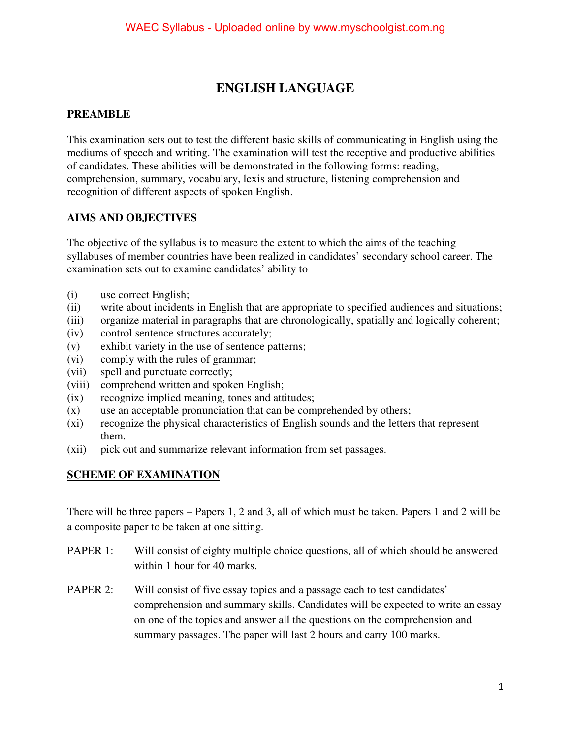# **ENGLISH LANGUAGE**

## **PREAMBLE**

This examination sets out to test the different basic skills of communicating in English using the mediums of speech and writing. The examination will test the receptive and productive abilities of candidates. These abilities will be demonstrated in the following forms: reading, comprehension, summary, vocabulary, lexis and structure, listening comprehension and recognition of different aspects of spoken English.

## **AIMS AND OBJECTIVES**

The objective of the syllabus is to measure the extent to which the aims of the teaching syllabuses of member countries have been realized in candidates' secondary school career. The examination sets out to examine candidates' ability to

- (i) use correct English;
- (ii) write about incidents in English that are appropriate to specified audiences and situations;
- (iii) organize material in paragraphs that are chronologically, spatially and logically coherent;
- (iv) control sentence structures accurately;
- (v) exhibit variety in the use of sentence patterns;
- (vi) comply with the rules of grammar;
- (vii) spell and punctuate correctly;
- (viii) comprehend written and spoken English;
- (ix) recognize implied meaning, tones and attitudes;
- (x) use an acceptable pronunciation that can be comprehended by others;
- (xi) recognize the physical characteristics of English sounds and the letters that represent them.
- (xii) pick out and summarize relevant information from set passages.

## **SCHEME OF EXAMINATION**

There will be three papers – Papers 1, 2 and 3, all of which must be taken. Papers 1 and 2 will be a composite paper to be taken at one sitting.

- PAPER 1: Will consist of eighty multiple choice questions, all of which should be answered within 1 hour for 40 marks.
- PAPER 2: Will consist of five essay topics and a passage each to test candidates' comprehension and summary skills. Candidates will be expected to write an essay on one of the topics and answer all the questions on the comprehension and summary passages. The paper will last 2 hours and carry 100 marks.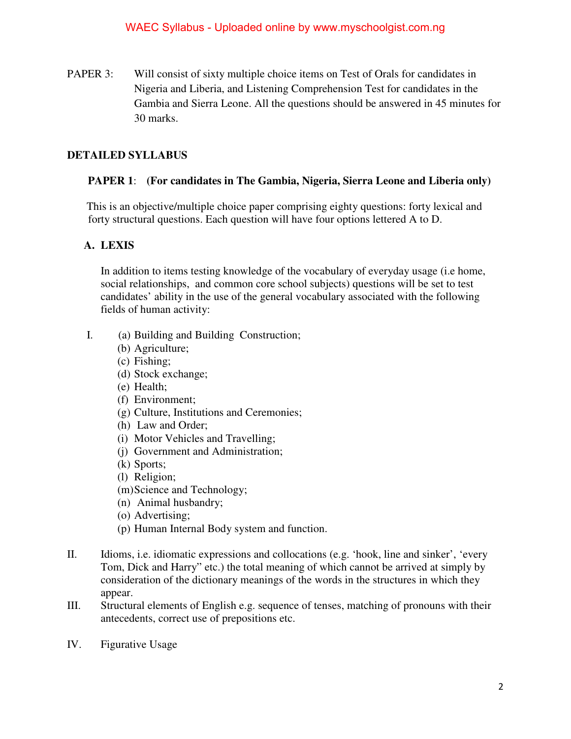PAPER 3: Will consist of sixty multiple choice items on Test of Orals for candidates in Nigeria and Liberia, and Listening Comprehension Test for candidates in the Gambia and Sierra Leone. All the questions should be answered in 45 minutes for 30 marks.

## **DETAILED SYLLABUS**

## **PAPER 1**: **(For candidates in The Gambia, Nigeria, Sierra Leone and Liberia only)**

 This is an objective/multiple choice paper comprising eighty questions: forty lexical and forty structural questions. Each question will have four options lettered A to D.

## **A. LEXIS**

In addition to items testing knowledge of the vocabulary of everyday usage (i.e home, social relationships, and common core school subjects) questions will be set to test candidates' ability in the use of the general vocabulary associated with the following fields of human activity:

- I. (a) Building and Building Construction;
	- (b) Agriculture;
	- (c) Fishing;
	- (d) Stock exchange;
	- (e) Health;
	- (f) Environment;
	- (g) Culture, Institutions and Ceremonies;
	- (h) Law and Order;
	- (i) Motor Vehicles and Travelling;
	- (j) Government and Administration;
	- (k) Sports;
	- (l) Religion;
	- (m) Science and Technology;
	- (n) Animal husbandry;
	- (o) Advertising;
	- (p) Human Internal Body system and function.
- II. Idioms, i.e. idiomatic expressions and collocations (e.g. 'hook, line and sinker', 'every Tom, Dick and Harry" etc.) the total meaning of which cannot be arrived at simply by consideration of the dictionary meanings of the words in the structures in which they appear.
- III. Structural elements of English e.g. sequence of tenses, matching of pronouns with their antecedents, correct use of prepositions etc.
- IV. Figurative Usage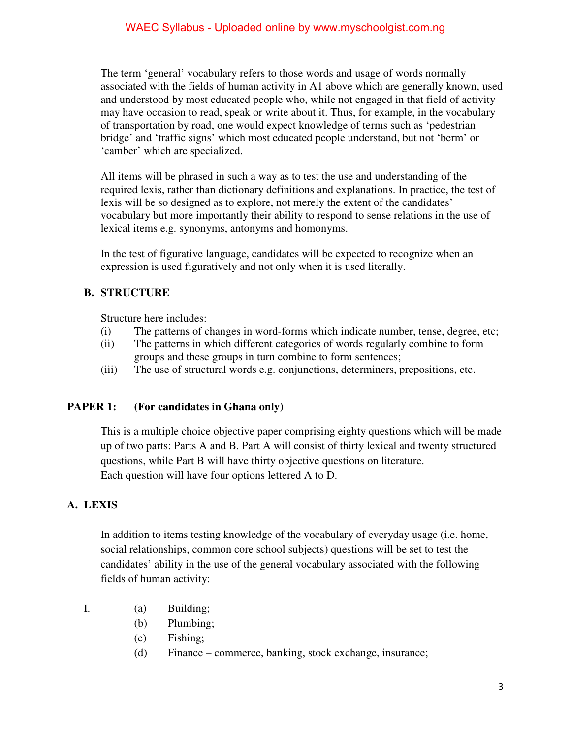### WAEC Syllabus - Uploaded online by www.myschoolgist.com.ng

 The term 'general' vocabulary refers to those words and usage of words normally associated with the fields of human activity in A1 above which are generally known, used and understood by most educated people who, while not engaged in that field of activity may have occasion to read, speak or write about it. Thus, for example, in the vocabulary of transportation by road, one would expect knowledge of terms such as 'pedestrian bridge' and 'traffic signs' which most educated people understand, but not 'berm' or 'camber' which are specialized.

 All items will be phrased in such a way as to test the use and understanding of the required lexis, rather than dictionary definitions and explanations. In practice, the test of lexis will be so designed as to explore, not merely the extent of the candidates' vocabulary but more importantly their ability to respond to sense relations in the use of lexical items e.g. synonyms, antonyms and homonyms.

 In the test of figurative language, candidates will be expected to recognize when an expression is used figuratively and not only when it is used literally.

## **B. STRUCTURE**

Structure here includes:

- (i) The patterns of changes in word-forms which indicate number, tense, degree, etc;
- (ii) The patterns in which different categories of words regularly combine to form groups and these groups in turn combine to form sentences;
- (iii) The use of structural words e.g. conjunctions, determiners, prepositions, etc.

#### **PAPER 1: (For candidates in Ghana only)**

This is a multiple choice objective paper comprising eighty questions which will be made up of two parts: Parts A and B. Part A will consist of thirty lexical and twenty structured questions, while Part B will have thirty objective questions on literature. Each question will have four options lettered A to D.

#### **A. LEXIS**

In addition to items testing knowledge of the vocabulary of everyday usage (i.e. home, social relationships, common core school subjects) questions will be set to test the candidates' ability in the use of the general vocabulary associated with the following fields of human activity:

- I. (a) Building;
	- (b) Plumbing;
	- (c) Fishing;
	- (d) Finance commerce, banking, stock exchange, insurance;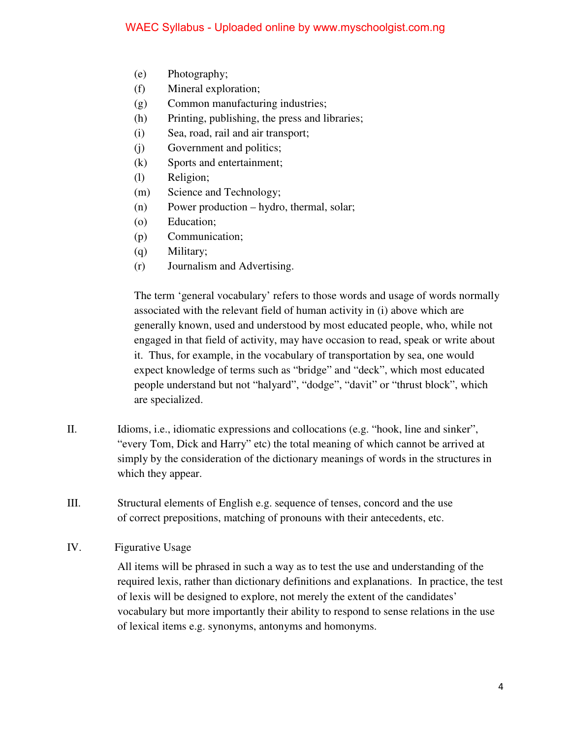- (e) Photography;
- (f) Mineral exploration;
- (g) Common manufacturing industries;
- (h) Printing, publishing, the press and libraries;
- (i) Sea, road, rail and air transport;
- (j) Government and politics;
- (k) Sports and entertainment;
- (l) Religion;
- (m) Science and Technology;
- (n) Power production hydro, thermal, solar;
- (o) Education;
- (p) Communication;
- (q) Military;
- (r) Journalism and Advertising.

The term 'general vocabulary' refers to those words and usage of words normally associated with the relevant field of human activity in (i) above which are generally known, used and understood by most educated people, who, while not engaged in that field of activity, may have occasion to read, speak or write about it. Thus, for example, in the vocabulary of transportation by sea, one would expect knowledge of terms such as "bridge" and "deck", which most educated people understand but not "halyard", "dodge", "davit" or "thrust block", which are specialized.

- II. Idioms, i.e., idiomatic expressions and collocations (e.g. "hook, line and sinker", "every Tom, Dick and Harry" etc) the total meaning of which cannot be arrived at simply by the consideration of the dictionary meanings of words in the structures in which they appear.
- III. Structural elements of English e.g. sequence of tenses, concord and the use of correct prepositions, matching of pronouns with their antecedents, etc.
- IV. Figurative Usage

All items will be phrased in such a way as to test the use and understanding of the required lexis, rather than dictionary definitions and explanations. In practice, the test of lexis will be designed to explore, not merely the extent of the candidates' vocabulary but more importantly their ability to respond to sense relations in the use of lexical items e.g. synonyms, antonyms and homonyms.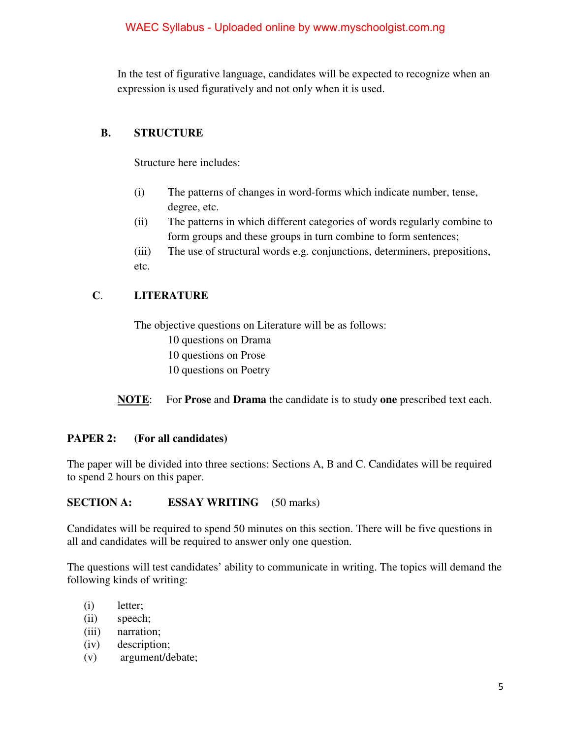In the test of figurative language, candidates will be expected to recognize when an expression is used figuratively and not only when it is used.

# **B. STRUCTURE**

Structure here includes:

- (i) The patterns of changes in word-forms which indicate number, tense, degree, etc.
- (ii) The patterns in which different categories of words regularly combine to form groups and these groups in turn combine to form sentences;
- (iii) The use of structural words e.g. conjunctions, determiners, prepositions, etc.

# **C**. **LITERATURE**

The objective questions on Literature will be as follows: 10 questions on Drama 10 questions on Prose 10 questions on Poetry

**NOTE**: For **Prose** and **Drama** the candidate is to study **one** prescribed text each.

# **PAPER 2: (For all candidates)**

The paper will be divided into three sections: Sections A, B and C. Candidates will be required to spend 2 hours on this paper.

## **SECTION A: ESSAY WRITING** (50 marks)

Candidates will be required to spend 50 minutes on this section. There will be five questions in all and candidates will be required to answer only one question.

The questions will test candidates' ability to communicate in writing. The topics will demand the following kinds of writing:

- (i) letter;
- (ii) speech;
- (iii) narration;
- (iv) description;
- (v) argument/debate;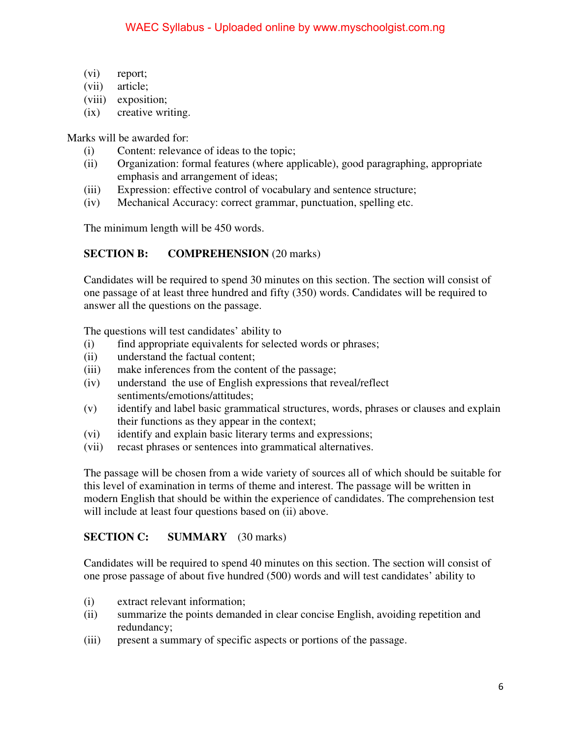- (vi) report;
- (vii) article;
- (viii) exposition;
- (ix) creative writing.

Marks will be awarded for:

- (i) Content: relevance of ideas to the topic;
- (ii) Organization: formal features (where applicable), good paragraphing, appropriate emphasis and arrangement of ideas;
- (iii) Expression: effective control of vocabulary and sentence structure;
- (iv) Mechanical Accuracy: correct grammar, punctuation, spelling etc.

The minimum length will be 450 words.

## **SECTION B: COMPREHENSION** (20 marks)

Candidates will be required to spend 30 minutes on this section. The section will consist of one passage of at least three hundred and fifty (350) words. Candidates will be required to answer all the questions on the passage.

The questions will test candidates' ability to

- (i) find appropriate equivalents for selected words or phrases;
- (ii) understand the factual content;
- (iii) make inferences from the content of the passage;
- (iv) understand the use of English expressions that reveal/reflect sentiments/emotions/attitudes;
- (v) identify and label basic grammatical structures, words, phrases or clauses and explain their functions as they appear in the context;
- (vi) identify and explain basic literary terms and expressions;
- (vii) recast phrases or sentences into grammatical alternatives.

The passage will be chosen from a wide variety of sources all of which should be suitable for this level of examination in terms of theme and interest. The passage will be written in modern English that should be within the experience of candidates. The comprehension test will include at least four questions based on (ii) above.

## **SECTION C: SUMMARY** (30 marks)

Candidates will be required to spend 40 minutes on this section. The section will consist of one prose passage of about five hundred (500) words and will test candidates' ability to

- (i) extract relevant information;
- (ii) summarize the points demanded in clear concise English, avoiding repetition and redundancy;
- (iii) present a summary of specific aspects or portions of the passage.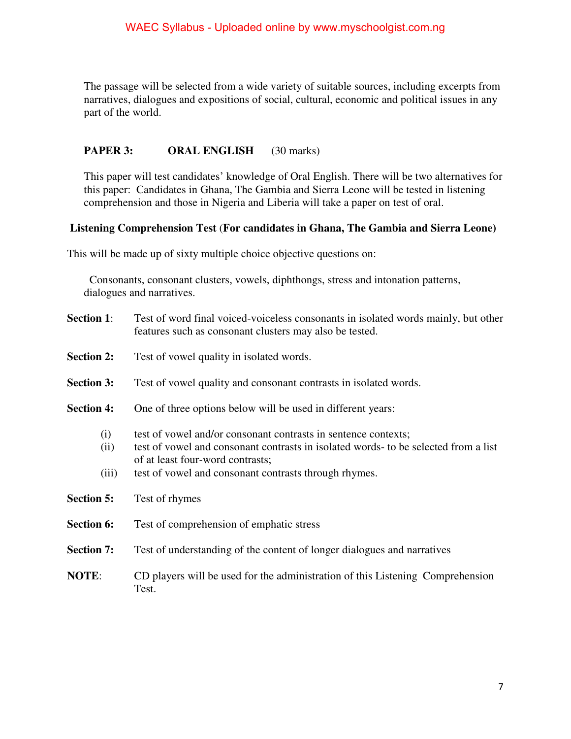The passage will be selected from a wide variety of suitable sources, including excerpts from narratives, dialogues and expositions of social, cultural, economic and political issues in any part of the world.

## **PAPER 3: ORAL ENGLISH** (30 marks)

This paper will test candidates' knowledge of Oral English. There will be two alternatives for this paper: Candidates in Ghana, The Gambia and Sierra Leone will be tested in listening comprehension and those in Nigeria and Liberia will take a paper on test of oral.

## **Listening Comprehension Test** (**For candidates in Ghana, The Gambia and Sierra Leone)**

This will be made up of sixty multiple choice objective questions on:

 Consonants, consonant clusters, vowels, diphthongs, stress and intonation patterns, dialogues and narratives.

- **Section 1:** Test of word final voiced-voiceless consonants in isolated words mainly, but other features such as consonant clusters may also be tested.
- **Section 2:** Test of vowel quality in isolated words.
- **Section 3:** Test of vowel quality and consonant contrasts in isolated words.
- **Section 4:** One of three options below will be used in different years:
	- (i) test of vowel and/or consonant contrasts in sentence contexts;
	- (ii) test of vowel and consonant contrasts in isolated words- to be selected from a list of at least four-word contrasts;
	- (iii) test of vowel and consonant contrasts through rhymes.
- **Section 5:** Test of rhymes
- **Section 6:** Test of comprehension of emphatic stress
- **Section 7:** Test of understanding of the content of longer dialogues and narratives
- **NOTE**: CD players will be used for the administration of this Listening Comprehension Test.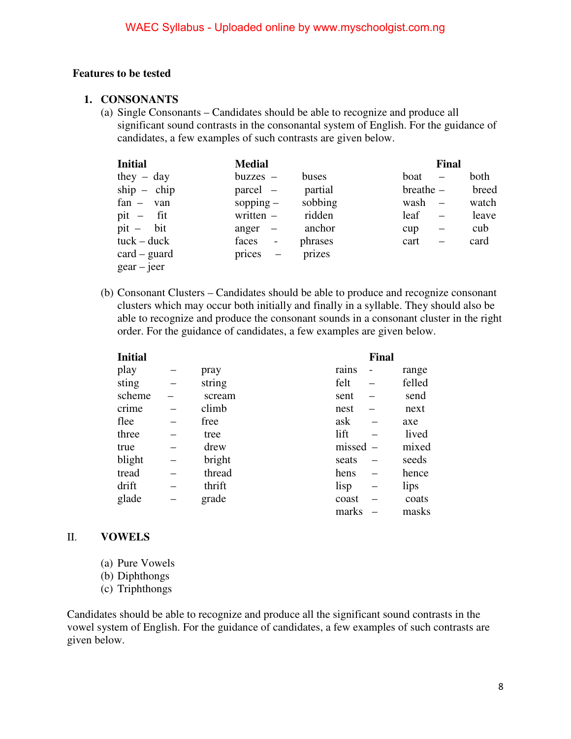#### **Features to be tested**

#### **1. CONSONANTS**

(a) Single Consonants – Candidates should be able to recognize and produce all significant sound contrasts in the consonantal system of English. For the guidance of candidates, a few examples of such contrasts are given below.

| <b>Initial</b>            | <b>Medial</b>           |         |              | <b>Final</b> |
|---------------------------|-------------------------|---------|--------------|--------------|
| they $-$ day              | $buzzes$ –              | buses   | boat         | both         |
| $ship - chip$             | parcel –                | partial | $breather -$ | breed        |
| $fan - van$               | sopping $-$             | sobbing | $wash$ –     | watch        |
| $pit - fit$               | written $-$             | ridden  | leaf         | leave        |
| $pit - bit$               | anger $-$               | anchor  | cup          | cub          |
| $tuck - duck$             | faces<br>$\blacksquare$ | phrases | cart         | card         |
| $card - guard$            | $\text{prices}$ –       | prizes  |              |              |
| $\text{gear}-\text{jeer}$ |                         |         |              |              |

(b) Consonant Clusters – Candidates should be able to produce and recognize consonant clusters which may occur both initially and finally in a syllable. They should also be able to recognize and produce the consonant sounds in a consonant cluster in the right order. For the guidance of candidates, a few examples are given below.

| <b>Initial</b> |        |            | <b>Final</b> |        |
|----------------|--------|------------|--------------|--------|
| play           | pray   | rains      | -            | range  |
| sting          | string | felt       |              | felled |
| scheme         | scream | sent       |              | send   |
| crime          | climb  | nest       |              | next   |
| flee           | free   | ask        |              | axe    |
| three          | tree   | lift       |              | lived  |
| true           | drew   | $missed$ – |              | mixed  |
| blight         | bright | seats      |              | seeds  |
| tread          | thread | hens       |              | hence  |
| drift          | thrift | lisp       |              | lips   |
| glade          | grade  | coast      |              | coats  |
|                |        | marks      |              | masks  |

#### II. **VOWELS**

- (a) Pure Vowels
- (b) Diphthongs
- (c) Triphthongs

Candidates should be able to recognize and produce all the significant sound contrasts in the vowel system of English. For the guidance of candidates, a few examples of such contrasts are given below.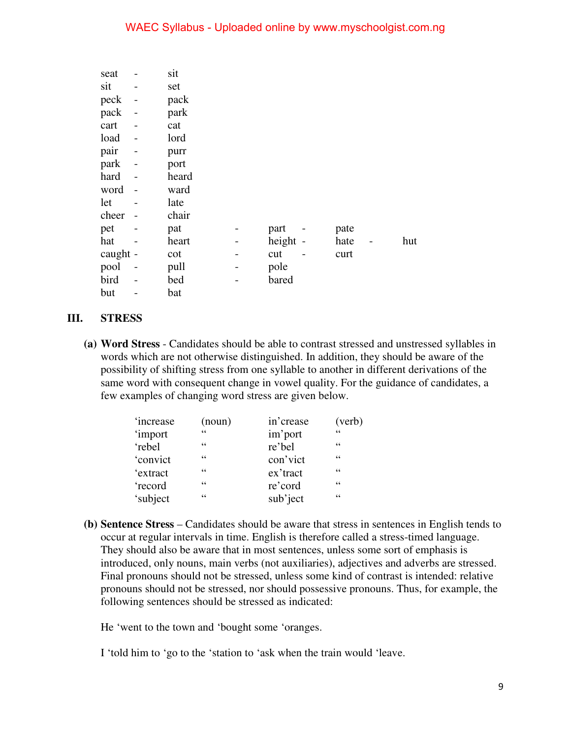### WAEC Syllabus - Uploaded online by www.myschoolgist.com.ng

| seat     |                          | sit   |   |          |      |     |
|----------|--------------------------|-------|---|----------|------|-----|
| sit      | -                        | set   |   |          |      |     |
| peck     | $\overline{\phantom{0}}$ | pack  |   |          |      |     |
| pack     | $\overline{a}$           | park  |   |          |      |     |
| cart     |                          | cat   |   |          |      |     |
| load     | $\overline{a}$           | lord  |   |          |      |     |
| pair     |                          | purr  |   |          |      |     |
| park     |                          | port  |   |          |      |     |
| hard     |                          | heard |   |          |      |     |
| word     | $\overline{a}$           | ward  |   |          |      |     |
| let      |                          | late  |   |          |      |     |
| cheer    |                          | chair |   |          |      |     |
| pet      |                          | pat   |   | part     | pate |     |
| hat      |                          | heart |   | height - | hate | hut |
| caught - |                          | cot   | - | cut      | curt |     |
| pool     |                          | pull  |   | pole     |      |     |
| bird     |                          | bed   |   | bared    |      |     |
| but      |                          | bat   |   |          |      |     |

#### **III. STRESS**

**(a) Word Stress** - Candidates should be able to contrast stressed and unstressed syllables in words which are not otherwise distinguished. In addition, they should be aware of the possibility of shifting stress from one syllable to another in different derivations of the same word with consequent change in vowel quality. For the guidance of candidates, a few examples of changing word stress are given below.

| <i>'increase</i> | (noun) | in'crease | (verb) |
|------------------|--------|-----------|--------|
| <i>'import</i>   | 66     | im'port   | 66     |
| 'rebel           | 66     | re'bel    | 66     |
| 'convict         | 66     | con'vict  | 66     |
| 'extract         | 66     | ex'tract  | 66     |
| 'record          | 66     | re'cord   | 66     |
| 'subject         | 66     | sub'ject  | 66     |

**(b) Sentence Stress** – Candidates should be aware that stress in sentences in English tends to occur at regular intervals in time. English is therefore called a stress-timed language. They should also be aware that in most sentences, unless some sort of emphasis is introduced, only nouns, main verbs (not auxiliaries), adjectives and adverbs are stressed. Final pronouns should not be stressed, unless some kind of contrast is intended: relative pronouns should not be stressed, nor should possessive pronouns. Thus, for example, the following sentences should be stressed as indicated:

He 'went to the town and 'bought some 'oranges.

I 'told him to 'go to the 'station to 'ask when the train would 'leave.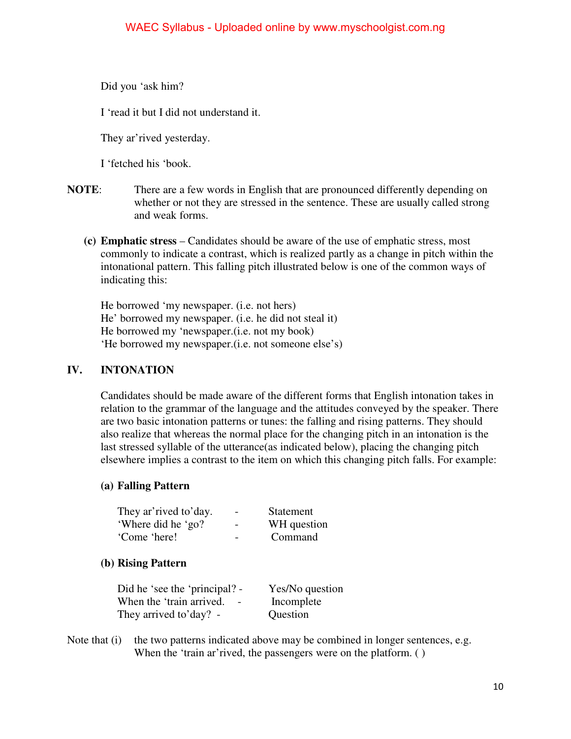Did you 'ask him?

I 'read it but I did not understand it.

They ar'rived yesterday.

I 'fetched his 'book.

- **NOTE:** There are a few words in English that are pronounced differently depending on whether or not they are stressed in the sentence. These are usually called strong and weak forms.
	- **(c) Emphatic stress** Candidates should be aware of the use of emphatic stress, most commonly to indicate a contrast, which is realized partly as a change in pitch within the intonational pattern. This falling pitch illustrated below is one of the common ways of indicating this:

He borrowed 'my newspaper. (i.e. not hers) He' borrowed my newspaper. (i.e. he did not steal it) He borrowed my 'newspaper.(i.e. not my book) 'He borrowed my newspaper.(i.e. not someone else's)

## **IV. INTONATION**

Candidates should be made aware of the different forms that English intonation takes in relation to the grammar of the language and the attitudes conveyed by the speaker. There are two basic intonation patterns or tunes: the falling and rising patterns. They should also realize that whereas the normal place for the changing pitch in an intonation is the last stressed syllable of the utterance(as indicated below), placing the changing pitch elsewhere implies a contrast to the item on which this changing pitch falls. For example:

## **(a) Falling Pattern**

| They ar' rived to' day. | $\overline{\phantom{0}}$ | Statement   |
|-------------------------|--------------------------|-------------|
| 'Where did he 'go?      | $\overline{\phantom{a}}$ | WH question |
| 'Come 'here!            |                          | Command     |

## **(b) Rising Pattern**

Did he 'see the 'principal? - Yes/No question When the 'train arrived. - Incomplete They arrived to'day? - Question

Note that  $(i)$  the two patterns indicated above may be combined in longer sentences, e.g. When the 'train ar'rived, the passengers were on the platform. ()